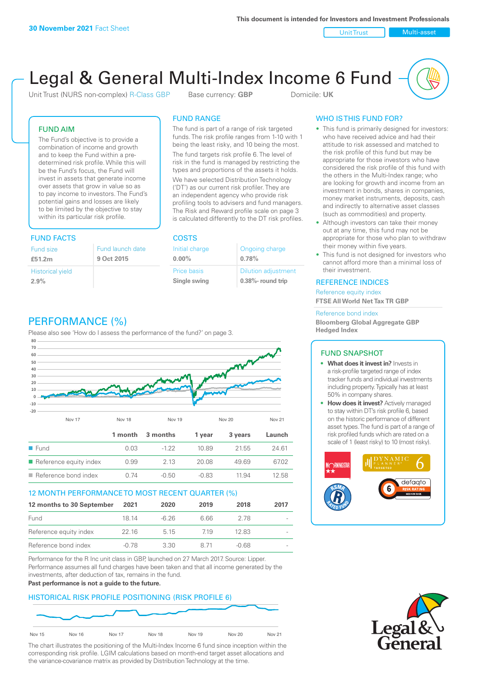Unit Trust Nulti-asset

# Legal & General Multi-Index Income 6 Fund

Unit Trust (NURS non-complex) R-Class GBP Base currency: **GBP** Domicile: UK

# FUND AIM

The Fund's objective is to provide a combination of income and growth and to keep the Fund within a predetermined risk profile. While this will be the Fund's focus, the Fund will invest in assets that generate income over assets that grow in value so as to pay income to investors. The Fund's potential gains and losses are likely to be limited by the objective to stay within its particular risk profile.

# FUND FACTS COSTS

| Fund size                       | Fund launch date |
|---------------------------------|------------------|
| £51.2m                          | 9 Oct 2015       |
| <b>Historical yield</b><br>2.9% |                  |

# FUND RANGE

The fund is part of a range of risk targeted funds. The risk profile ranges from 1-10 with 1 being the least risky, and 10 being the most.

The fund targets risk profile 6. The level of risk in the fund is managed by restricting the types and proportions of the assets it holds. We have selected Distribution Technology ('DT') as our current risk profiler. They are an independent agency who provide risk profiling tools to advisers and fund managers. The Risk and Reward profile scale on page 3 is calculated differently to the DT risk profiles.

| Initial charge | Ongoing charge             |
|----------------|----------------------------|
| $0.00\%$       | 0.78%                      |
| Price basis    | <b>Dilution adjustment</b> |
| Single swing   | 0.38%- round trip          |

# WHO IS THIS FUND FOR?

- This fund is primarily designed for investors: who have received advice and had their attitude to risk assessed and matched to the risk profile of this fund but may be appropriate for those investors who have considered the risk profile of this fund with the others in the Multi-Index range; who are looking for growth and income from an investment in bonds, shares in companies, money market instruments, deposits, cash and indirectly to alternative asset classes (such as commodities) and property.
- Although investors can take their money out at any time, this fund may not be appropriate for those who plan to withdraw their money within five years.
- This fund is not designed for investors who cannot afford more than a minimal loss of their investment.

# REFERENCE INDICES

Reference equity index **FTSE All World Net Tax TR GBP**

#### Reference bond index

**Bloomberg Global Aggregate GBP Hedged Index**

# FUND SNAPSHOT

- **• What does it invest in?** Invests in a risk-profile targeted range of index tracker funds and individual investments including property. Typically has at least 50% in company shares.
- **• How does it invest?** Actively managed to stay within DT's risk profile 6, based on the historic performance of different asset types. The fund is part of a range of risk profiled funds which are rated on a scale of 1 (least risky) to 10 (most risky).





# PERFORMANCE (%)

Please also see 'How do I assess the performance of the fund?' on page 3.



# 12 MONTH PERFORMANCE TO MOST RECENT QUARTER (%)

| 12 months to 30 September | 2021  | 2020    | 2019 | 2018    | 2017   |
|---------------------------|-------|---------|------|---------|--------|
| Fund                      | 18 14 | $-6.26$ | 6.66 | 278     | $\sim$ |
| Reference equity index    | 22.16 | 5 1 5   | 719  | 1283    | $\sim$ |
| Reference bond index      | -0.78 | 3.30    | 8.71 | $-0.68$ |        |

Performance for the R Inc unit class in GBP, launched on 27 March 2017. Source: Lipper. Performance assumes all fund charges have been taken and that all income generated by the investments, after deduction of tax, remains in the fund.

## **Past performance is not a guide to the future.**

# HISTORICAL RISK PROFILE POSITIONING (RISK PROFILE 6)



The chart illustrates the positioning of the Multi-Index Income 6 fund since inception within the corresponding risk profile. LGIM calculations based on month-end target asset allocations and the variance-covariance matrix as provided by Distribution Technology at the time.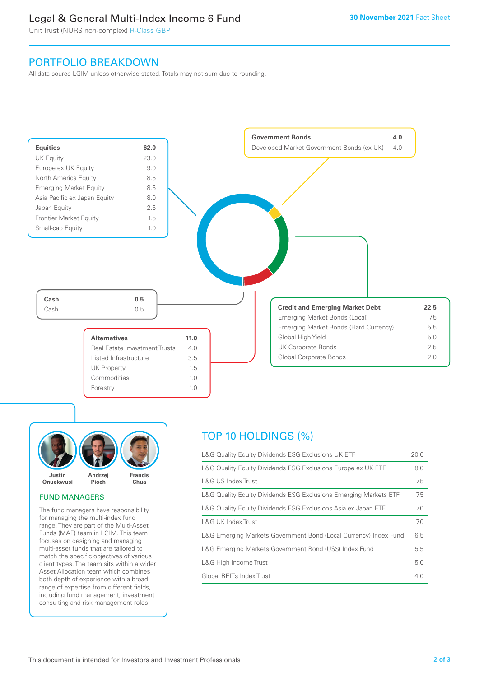# Legal & General Multi-Index Income 6 Fund

Unit Trust (NURS non-complex) R-Class GBP

# PORTFOLIO BREAKDOWN

All data source LGIM unless otherwise stated. Totals may not sum due to rounding.





# FUND MANAGERS

The fund managers have responsibility for managing the multi-index fund range. They are part of the Multi-Asset Funds (MAF) team in LGIM. This team focuses on designing and managing multi-asset funds that are tailored to match the specific objectives of various client types. The team sits within a wider Asset Allocation team which combines both depth of experience with a broad range of expertise from different fields, including fund management, investment consulting and risk management roles.

# TOP 10 HOLDINGS (%)

| L&G Quality Equity Dividends ESG Exclusions UK ETF               | 20.0 |
|------------------------------------------------------------------|------|
| L&G Quality Equity Dividends ESG Exclusions Europe ex UK ETF     | 8.0  |
| L&G US Index Trust                                               | 7.5  |
| L&G Quality Equity Dividends ESG Exclusions Emerging Markets ETF | 7.5  |
| L&G Quality Equity Dividends ESG Exclusions Asia ex Japan ETF    | 7.0  |
| L&G UK Index Trust                                               | 7.0  |
| L&G Emerging Markets Government Bond (Local Currency) Index Fund | 6.5  |
| L&G Emerging Markets Government Bond (US\$) Index Fund           | 5.5  |
| L&G High Income Trust                                            | 5.0  |
| Global REITs Index Trust                                         | 4.0  |